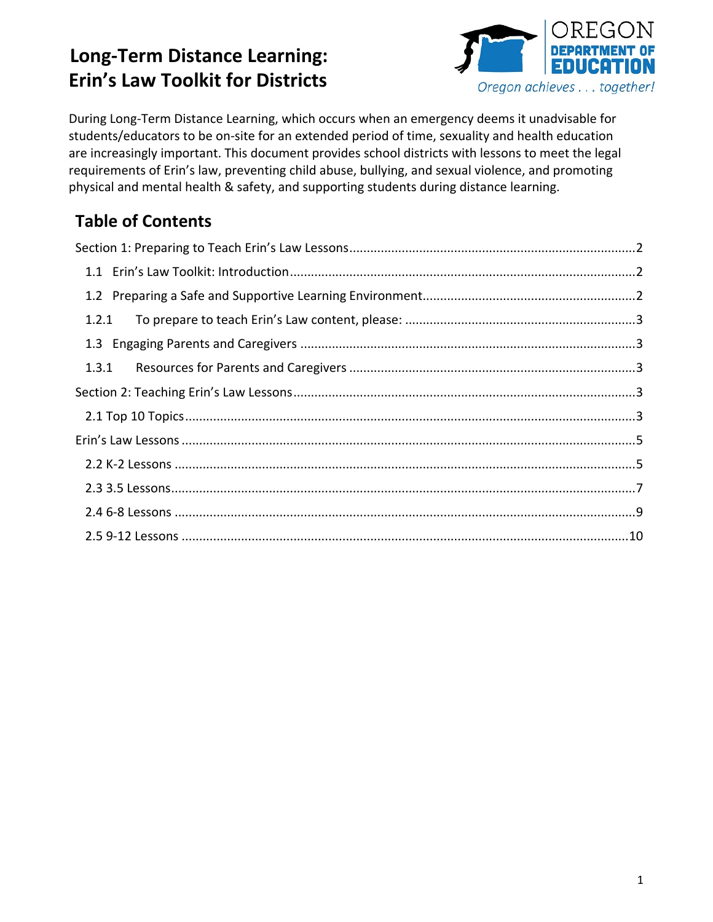

During Long-Term Distance Learning, which occurs when an emergency deems it unadvisable for students/educators to be on-site for an extended period of time, sexuality and health education are increasingly important. This document provides school districts with lessons to meet the legal requirements of Erin's law, preventing child abuse, bullying, and sexual violence, and promoting physical and mental health & safety, and supporting students during distance learning.

### **Table of Contents**

| 1.2.1 |  |
|-------|--|
|       |  |
|       |  |
|       |  |
|       |  |
|       |  |
|       |  |
|       |  |
|       |  |
|       |  |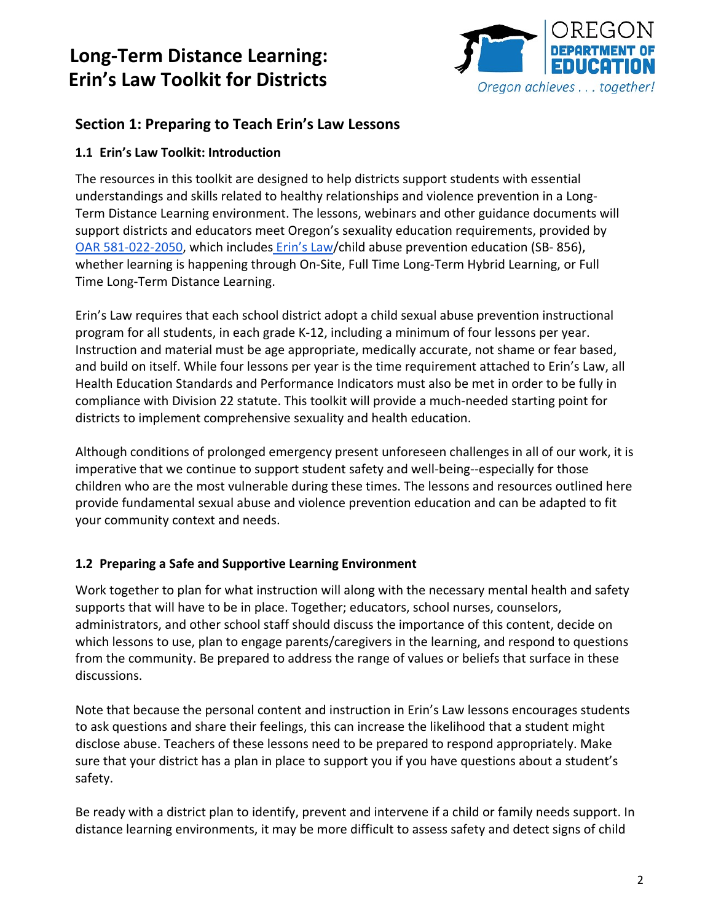

### <span id="page-1-0"></span>**Section 1: Preparing to Teach Erin's Law Lessons**

#### <span id="page-1-1"></span>**1.1 Erin's Law Toolkit: Introduction**

The resources in this toolkit are designed to help districts support students with essential understandings and skills related to healthy relationships and violence prevention in a Long-Term Distance Learning environment. The lessons, webinars and other guidance documents will support districts and educators meet Oregon's sexuality education requirements, provided by [OAR 581-022-2050,](https://secure.sos.state.or.us/oard/viewSingleRule.action?ruleVrsnRsn=145221) which includes [Erin's Law/](https://www.oregon.gov/ode/students-and-family/healthsafety/Documents/k12guidance.pdf)child abuse prevention education (SB- 856), whether learning is happening through On-Site, Full Time Long-Term Hybrid Learning, or Full Time Long-Term Distance Learning.

Erin's Law requires that each school district adopt a child sexual abuse prevention instructional program for all students, in each grade K-12, including a minimum of four lessons per year. Instruction and material must be age appropriate, medically accurate, not shame or fear based, and build on itself. While four lessons per year is the time requirement attached to Erin's Law, all Health Education Standards and Performance Indicators must also be met in order to be fully in compliance with Division 22 statute. This toolkit will provide a much-needed starting point for districts to implement comprehensive sexuality and health education.

Although conditions of prolonged emergency present unforeseen challenges in all of our work, it is imperative that we continue to support student safety and well-being--especially for those children who are the most vulnerable during these times. The lessons and resources outlined here provide fundamental sexual abuse and violence prevention education and can be adapted to fit your community context and needs.

#### <span id="page-1-2"></span>**1.2 Preparing a Safe and Supportive Learning Environment**

Work together to plan for what instruction will along with the necessary mental health and safety supports that will have to be in place. Together; educators, school nurses, counselors, administrators, and other school staff should discuss the importance of this content, decide on which lessons to use, plan to engage parents/caregivers in the learning, and respond to questions from the community. Be prepared to address the range of values or beliefs that surface in these discussions.

Note that because the personal content and instruction in Erin's Law lessons encourages students to ask questions and share their feelings, this can increase the likelihood that a student might disclose abuse. Teachers of these lessons need to be prepared to respond appropriately. Make sure that your district has a plan in place to support you if you have questions about a student's safety.

Be ready with a district plan to identify, prevent and intervene if a child or family needs support. In distance learning environments, it may be more difficult to assess safety and detect signs of child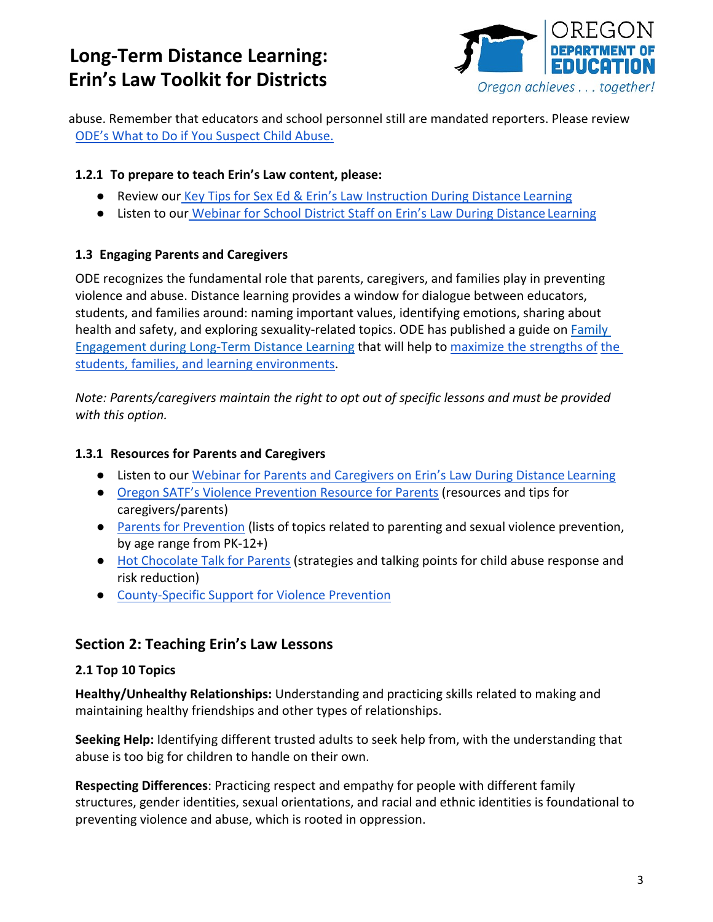

abuse. Remember that educators and school personnel still are mandated reporters. Please review [ODE's What to Do if You Suspect Child Abuse.](https://www.oregon.gov/ode/students-and-family/healthsafety/Documents/What%20to%20Do%20if%20You%20Suspect%20Child%20Abuse.pdf)

#### <span id="page-2-0"></span>**1.2.1 To prepare to teach Erin's Law content, please:**

- Review our [Key Tips for Sex Ed & Erin's Law Instruction During Distance Learning](https://www.oregon.gov/ode/educator-resources/standards/Documents/Key_Tips_for_Sex_Ed_Erin%27s_Law_During_Distance_Learning.pdf)
- Listen to our [Webinar for School District Staff on Erin's Law During Distance Learning](https://www.youtube.com/watch?v=AXj_Rl0T_MA)

#### <span id="page-2-1"></span>**1.3 Engaging Parents and Caregivers**

ODE recognizes the fundamental role that parents, caregivers, and families play in preventing violence and abuse. Distance learning provides a window for dialogue between educators, students, and families around: naming important values, identifying emotions, sharing about health and safety, and exploring sexuality-related topics. ODE has published a guide on [Family](https://www.oregon.gov/ode/students-and-family/healthsafety/Documents/Family%20Engagement%20during%20Distance%20Learning%20For%20All.pdf)  [Engagement during Long-Term Distance Learning](https://www.oregon.gov/ode/students-and-family/healthsafety/Documents/Family%20Engagement%20during%20Distance%20Learning%20For%20All.pdf) that will help to [maximize the strengths of](https://www.tolerance.org/magazine/rethinking-family-engagement-during-school-closures) [the](https://www.tolerance.org/magazine/rethinking-family-engagement-during-school-closures)  [students, families, and learning environments.](https://www.tolerance.org/magazine/rethinking-family-engagement-during-school-closures)

*Note: Parents/caregivers maintain the right to opt out of specific lessons and must be provided with this option.*

#### <span id="page-2-2"></span>**1.3.1 Resources for Parents and Caregivers**

- Listen to our [Webinar for Parents and Caregivers on Erin's Law During Distance Learning](https://www.youtube.com/watch?v=4inRyF6i1PY)
- [Oregon SATF's Violence Prevention Resource for Parents](http://oregonsatf.org/wp-content/uploads/2020/03/2020-Prevention-Resources-for-Parents.pdf) (resources and tips for caregivers/parents)
- [Parents for](https://www.parentsforprevention.org/) Prevention (lists of topics related to parenting and sexual violence prevention, by age range from PK-12+)
- [Hot Chocolate Talk for Parents \(](https://www.cfchildren.org/resources/child-abuse-prevention/)strategies and talking points for child abuse response and risk reduction)
- [County-Specific Support for Violence](https://www.ocadsv.org/find-help/by-county) [Prevention](https://www.ocadsv.org/find-help/by-county)

### <span id="page-2-3"></span>**Section 2: Teaching Erin's Law Lessons**

#### <span id="page-2-4"></span>**2.1 Top 10 Topics**

**Healthy/Unhealthy Relationships:** Understanding and practicing skills related to making and maintaining healthy friendships and other types of relationships.

**Seeking Help:** Identifying different trusted adults to seek help from, with the understanding that abuse is too big for children to handle on their own.

**Respecting Differences**: Practicing respect and empathy for people with different family structures, gender identities, sexual orientations, and racial and ethnic identities is foundational to preventing violence and abuse, which is rooted in oppression.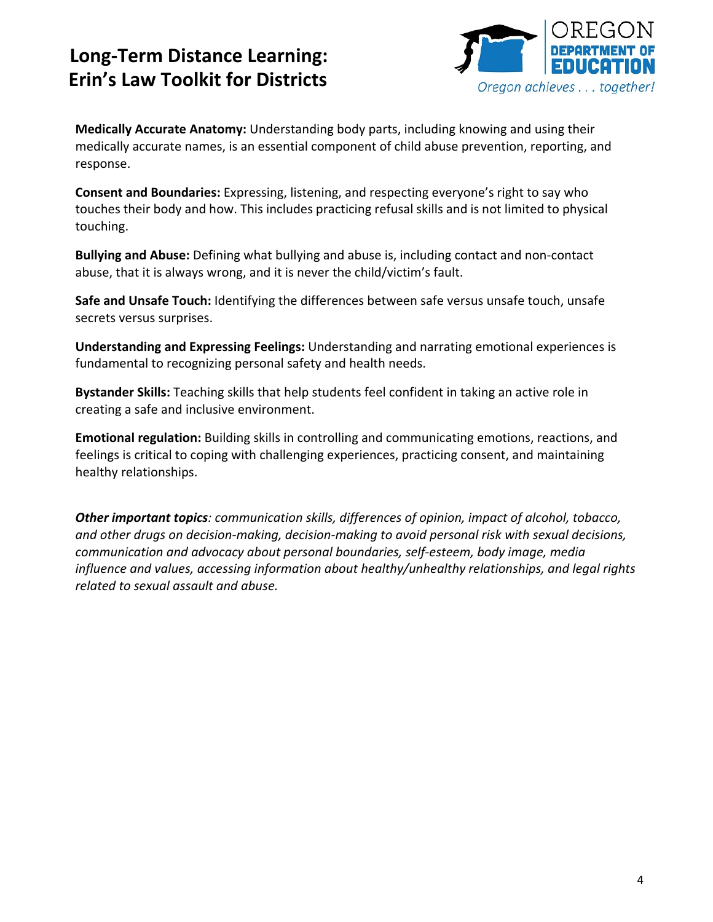

**Medically Accurate Anatomy:** Understanding body parts, including knowing and using their medically accurate names, is an essential component of child abuse prevention, reporting, and response.

**Consent and Boundaries:** Expressing, listening, and respecting everyone's right to say who touches their body and how. This includes practicing refusal skills and is not limited to physical touching.

**Bullying and Abuse:** Defining what bullying and abuse is, including contact and non-contact abuse, that it is always wrong, and it is never the child/victim's fault.

**Safe and Unsafe Touch:** Identifying the differences between safe versus unsafe touch, unsafe secrets versus surprises.

**Understanding and Expressing Feelings:** Understanding and narrating emotional experiences is fundamental to recognizing personal safety and health needs.

**Bystander Skills:** Teaching skills that help students feel confident in taking an active role in creating a safe and inclusive environment.

**Emotional regulation:** Building skills in controlling and communicating emotions, reactions, and feelings is critical to coping with challenging experiences, practicing consent, and maintaining healthy relationships.

*Other important topics: communication skills, differences of opinion, impact of alcohol, tobacco, and other drugs on decision-making, decision-making to avoid personal risk with sexual decisions, communication and advocacy about personal boundaries, self-esteem, body image, media influence and values, accessing information about healthy/unhealthy relationships, and legal rights related to sexual assault and abuse.*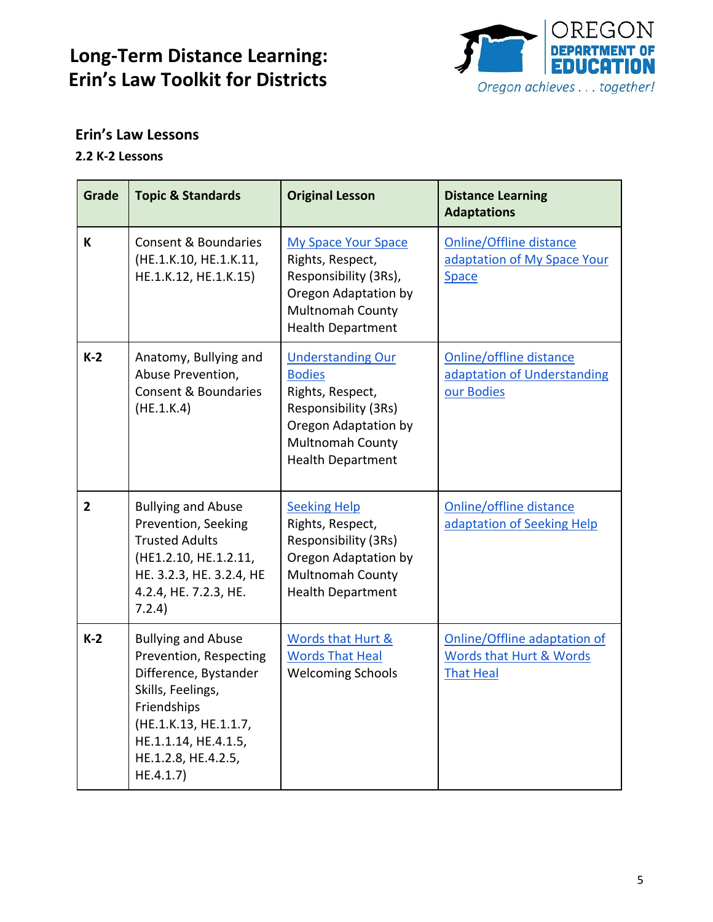

### <span id="page-4-0"></span>**Erin's Law Lessons**

#### <span id="page-4-1"></span>**2.2 K-2 Lessons**

| Grade          | <b>Topic &amp; Standards</b>                                                                                                                                                                          | <b>Original Lesson</b>                                                                                                                                               | <b>Distance Learning</b><br><b>Adaptations</b>                                |
|----------------|-------------------------------------------------------------------------------------------------------------------------------------------------------------------------------------------------------|----------------------------------------------------------------------------------------------------------------------------------------------------------------------|-------------------------------------------------------------------------------|
| K              | Consent & Boundaries<br>(HE.1.K.10, HE.1.K.11,<br>HE.1.K.12, HE.1.K.15)                                                                                                                               | <b>My Space Your Space</b><br>Rights, Respect,<br>Responsibility (3Rs),<br>Oregon Adaptation by<br>Multnomah County<br><b>Health Department</b>                      | <b>Online/Offline distance</b><br>adaptation of My Space Your<br><b>Space</b> |
| $K-2$          | Anatomy, Bullying and<br>Abuse Prevention,<br><b>Consent &amp; Boundaries</b><br>(HE.1.K.4)                                                                                                           | <b>Understanding Our</b><br><b>Bodies</b><br>Rights, Respect,<br>Responsibility (3Rs)<br>Oregon Adaptation by<br><b>Multnomah County</b><br><b>Health Department</b> | Online/offline distance<br>adaptation of Understanding<br>our Bodies          |
| $\overline{2}$ | <b>Bullying and Abuse</b><br>Prevention, Seeking<br><b>Trusted Adults</b><br>(HE1.2.10, HE.1.2.11,<br>HE. 3.2.3, HE. 3.2.4, HE<br>4.2.4, HE. 7.2.3, HE.<br>7.2.4)                                     | <b>Seeking Help</b><br>Rights, Respect,<br>Responsibility (3Rs)<br>Oregon Adaptation by<br>Multnomah County<br><b>Health Department</b>                              | Online/offline distance<br>adaptation of Seeking Help                         |
| $K-2$          | <b>Bullying and Abuse</b><br>Prevention, Respecting<br>Difference, Bystander<br>Skills, Feelings,<br>Friendships<br>(HE.1.K.13, HE.1.1.7,<br>HE.1.1.14, HE.4.1.5,<br>HE.1.2.8, HE.4.2.5,<br>HE.4.1.7) | Words that Hurt &<br><b>Words That Heal</b><br><b>Welcoming Schools</b>                                                                                              | Online/Offline adaptation of<br>Words that Hurt & Words<br><b>That Heal</b>   |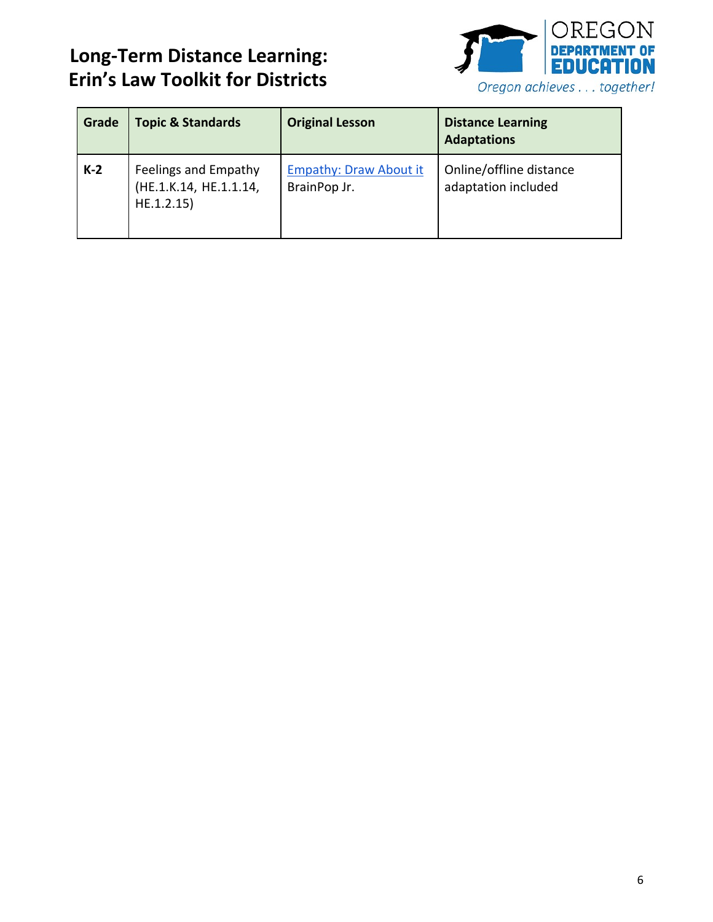

| Grade | <b>Topic &amp; Standards</b>                                 | <b>Original Lesson</b>                        | <b>Distance Learning</b><br><b>Adaptations</b> |
|-------|--------------------------------------------------------------|-----------------------------------------------|------------------------------------------------|
| $K-2$ | Feelings and Empathy<br>(HE.1.K.14, HE.1.1.14,<br>HE.1.2.15) | <b>Empathy: Draw About it</b><br>BrainPop Jr. | Online/offline distance<br>adaptation included |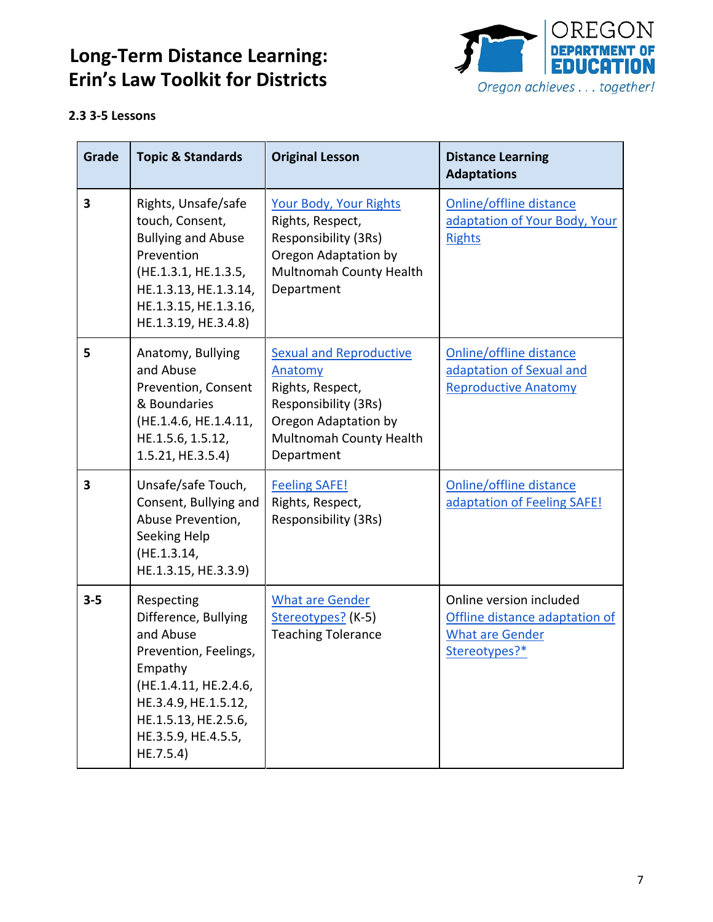

#### <span id="page-6-0"></span>**2.3 3-5 Lessons**

| Grade   | <b>Topic &amp; Standards</b>                                                                                                                                                                     | <b>Original Lesson</b>                                                                                                                                 | <b>Distance Learning</b><br><b>Adaptations</b>                                                       |
|---------|--------------------------------------------------------------------------------------------------------------------------------------------------------------------------------------------------|--------------------------------------------------------------------------------------------------------------------------------------------------------|------------------------------------------------------------------------------------------------------|
| 3       | Rights, Unsafe/safe<br>touch, Consent,<br><b>Bullying and Abuse</b><br>Prevention<br>(HE.1.3.1, HE.1.3.5,<br>HE.1.3.13, HE.1.3.14,<br>HE.1.3.15, HE.1.3.16,<br>HE.1.3.19, HE.3.4.8)              | <b>Your Body, Your Rights</b><br>Rights, Respect,<br>Responsibility (3Rs)<br>Oregon Adaptation by<br>Multnomah County Health<br>Department             | Online/offline distance<br>adaptation of Your Body, Your<br><b>Rights</b>                            |
| 5       | Anatomy, Bullying<br>and Abuse<br>Prevention, Consent<br>& Boundaries<br>(HE.1.4.6, HE.1.4.11,<br>HE.1.5.6, 1.5.12,<br>1.5.21, HE.3.5.4)                                                         | <b>Sexual and Reproductive</b><br>Anatomy<br>Rights, Respect,<br>Responsibility (3Rs)<br>Oregon Adaptation by<br>Multnomah County Health<br>Department | Online/offline distance<br>adaptation of Sexual and<br><b>Reproductive Anatomy</b>                   |
| 3       | Unsafe/safe Touch,<br>Consent, Bullying and<br>Abuse Prevention,<br>Seeking Help<br>(HE.1.3.14,<br>HE.1.3.15, HE.3.3.9)                                                                          | <b>Feeling SAFE!</b><br>Rights, Respect,<br>Responsibility (3Rs)                                                                                       | Online/offline distance<br>adaptation of Feeling SAFE!                                               |
| $3 - 5$ | Respecting<br>Difference, Bullying<br>and Abuse<br>Prevention, Feelings,<br>Empathy<br>(HE.1.4.11, HE.2.4.6,<br>HE.3.4.9, HE.1.5.12,<br>HE.1.5.13, HE.2.5.6,<br>HE.3.5.9, HE.4.5.5,<br>HE.7.5.4) | <b>What are Gender</b><br>Stereotypes? (K-5)<br><b>Teaching Tolerance</b>                                                                              | Online version included<br>Offline distance adaptation of<br><b>What are Gender</b><br>Stereotypes?* |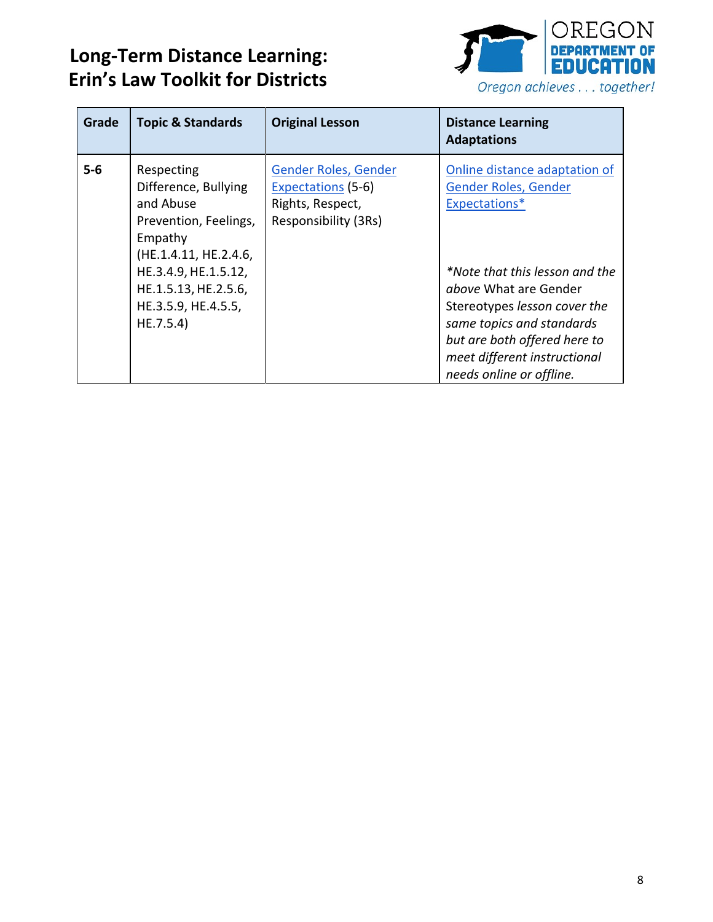

| Grade | <b>Topic &amp; Standards</b>                                                                                                                                                                     | <b>Original Lesson</b>                                                                        | <b>Distance Learning</b><br><b>Adaptations</b>                                                                                                                                                                                                                                                    |
|-------|--------------------------------------------------------------------------------------------------------------------------------------------------------------------------------------------------|-----------------------------------------------------------------------------------------------|---------------------------------------------------------------------------------------------------------------------------------------------------------------------------------------------------------------------------------------------------------------------------------------------------|
| $5-6$ | Respecting<br>Difference, Bullying<br>and Abuse<br>Prevention, Feelings,<br>Empathy<br>(HE.1.4.11, HE.2.4.6,<br>HE.3.4.9, HE.1.5.12,<br>HE.1.5.13, HE.2.5.6,<br>HE.3.5.9, HE.4.5.5,<br>HE.7.5.4) | Gender Roles, Gender<br><b>Expectations (5-6)</b><br>Rights, Respect,<br>Responsibility (3Rs) | Online distance adaptation of<br>Gender Roles, Gender<br>Expectations*<br>*Note that this lesson and the<br><i>above</i> What are Gender<br>Stereotypes lesson cover the<br>same topics and standards<br>but are both offered here to<br>meet different instructional<br>needs online or offline. |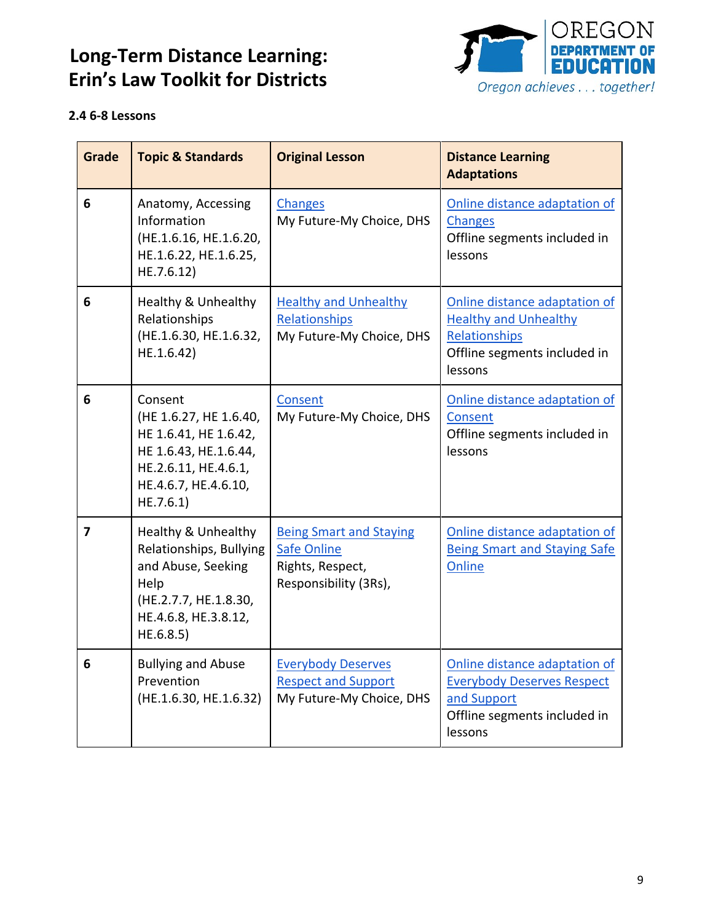

#### <span id="page-8-0"></span>**2.4 6-8 Lessons**

| <b>Grade</b> | <b>Topic &amp; Standards</b>                                                                                                                          | <b>Original Lesson</b>                                                                            | <b>Distance Learning</b><br><b>Adaptations</b>                                                                               |
|--------------|-------------------------------------------------------------------------------------------------------------------------------------------------------|---------------------------------------------------------------------------------------------------|------------------------------------------------------------------------------------------------------------------------------|
| 6            | Anatomy, Accessing<br>Information<br>(HE.1.6.16, HE.1.6.20,<br>HE.1.6.22, HE.1.6.25,<br>HE.7.6.12)                                                    | <b>Changes</b><br>My Future-My Choice, DHS                                                        | Online distance adaptation of<br><b>Changes</b><br>Offline segments included in<br>lessons                                   |
| 6            | Healthy & Unhealthy<br>Relationships<br>(HE.1.6.30, HE.1.6.32,<br>HE.1.6.42)                                                                          | <b>Healthy and Unhealthy</b><br>Relationships<br>My Future-My Choice, DHS                         | Online distance adaptation of<br><b>Healthy and Unhealthy</b><br>Relationships<br>Offline segments included in<br>lessons    |
| 6            | Consent<br>(HE 1.6.27, HE 1.6.40,<br>HE 1.6.41, HE 1.6.42,<br>HE 1.6.43, HE.1.6.44,<br>HE.2.6.11, HE.4.6.1,<br>HE.4.6.7, HE.4.6.10,<br>HE.7.6.1)      | Consent<br>My Future-My Choice, DHS                                                               | Online distance adaptation of<br>Consent<br>Offline segments included in<br>lessons                                          |
| 7            | <b>Healthy &amp; Unhealthy</b><br>Relationships, Bullying<br>and Abuse, Seeking<br>Help<br>(HE.2.7.7, HE.1.8.30,<br>HE.4.6.8, HE.3.8.12,<br>HE.6.8.5) | <b>Being Smart and Staying</b><br><b>Safe Online</b><br>Rights, Respect,<br>Responsibility (3Rs), | Online distance adaptation of<br><b>Being Smart and Staying Safe</b><br>Online                                               |
| 6            | <b>Bullying and Abuse</b><br>Prevention<br>(HE.1.6.30, HE.1.6.32)                                                                                     | <b>Everybody Deserves</b><br><b>Respect and Support</b><br>My Future-My Choice, DHS               | Online distance adaptation of<br><b>Everybody Deserves Respect</b><br>and Support<br>Offline segments included in<br>lessons |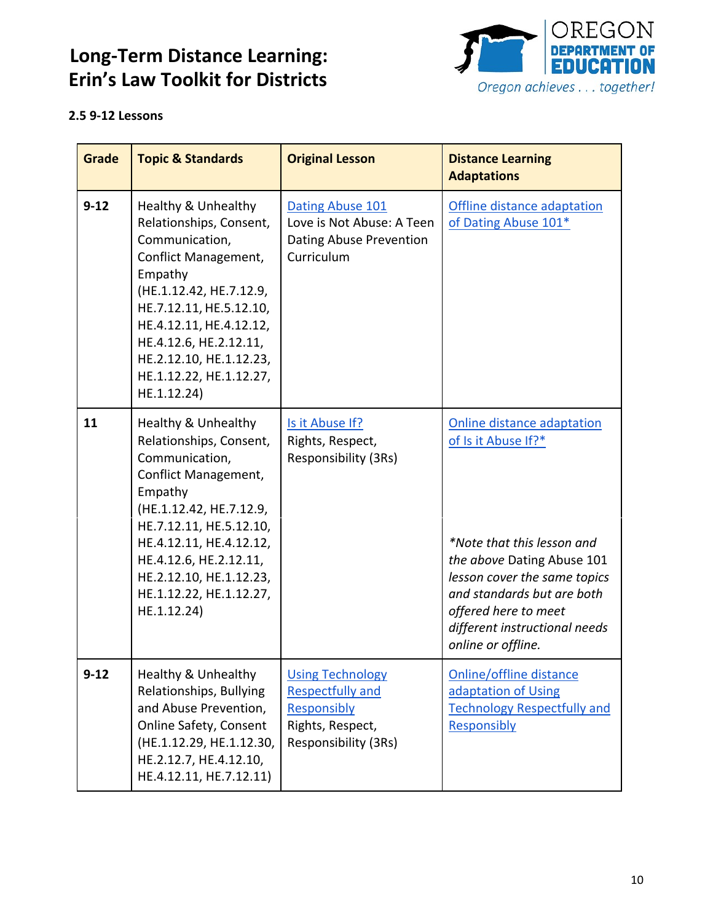

#### <span id="page-9-0"></span>**2.5 9-12 Lessons**

| <b>Grade</b> | <b>Topic &amp; Standards</b>                                                                                                                                                                                                                                                        | <b>Original Lesson</b>                                                                                        | <b>Distance Learning</b><br><b>Adaptations</b>                                                                                                                                                                                                             |
|--------------|-------------------------------------------------------------------------------------------------------------------------------------------------------------------------------------------------------------------------------------------------------------------------------------|---------------------------------------------------------------------------------------------------------------|------------------------------------------------------------------------------------------------------------------------------------------------------------------------------------------------------------------------------------------------------------|
| $9 - 12$     | Healthy & Unhealthy<br>Relationships, Consent,<br>Communication,<br>Conflict Management,<br>Empathy<br>(HE.1.12.42, HE.7.12.9,<br>HE.7.12.11, HE.5.12.10,<br>HE.4.12.11, HE.4.12.12,<br>HE.4.12.6, HE.2.12.11,<br>HE.2.12.10, HE.1.12.23,<br>HE.1.12.22, HE.1.12.27,<br>HE.1.12.24) | Dating Abuse 101<br>Love is Not Abuse: A Teen<br>Dating Abuse Prevention<br>Curriculum                        | Offline distance adaptation<br>of Dating Abuse 101*                                                                                                                                                                                                        |
| 11           | Healthy & Unhealthy<br>Relationships, Consent,<br>Communication,<br>Conflict Management,<br>Empathy<br>(HE.1.12.42, HE.7.12.9,<br>HE.7.12.11, HE.5.12.10,<br>HE.4.12.11, HE.4.12.12,<br>HE.4.12.6, HE.2.12.11,<br>HE.2.12.10, HE.1.12.23,<br>HE.1.12.22, HE.1.12.27,<br>HE.1.12.24) | Is it Abuse If?<br>Rights, Respect,<br>Responsibility (3Rs)                                                   | Online distance adaptation<br>of Is it Abuse If?*<br>*Note that this lesson and<br>the above Dating Abuse 101<br>lesson cover the same topics<br>and standards but are both<br>offered here to meet<br>different instructional needs<br>online or offline. |
| $9 - 12$     | Healthy & Unhealthy<br>Relationships, Bullying<br>and Abuse Prevention,<br><b>Online Safety, Consent</b><br>(HE.1.12.29, HE.1.12.30,<br>HE.2.12.7, HE.4.12.10,<br>HE.4.12.11, HE.7.12.11)                                                                                           | <b>Using Technology</b><br><b>Respectfully and</b><br>Responsibly<br>Rights, Respect,<br>Responsibility (3Rs) | Online/offline distance<br>adaptation of Using<br><b>Technology Respectfully and</b><br>Responsibly                                                                                                                                                        |